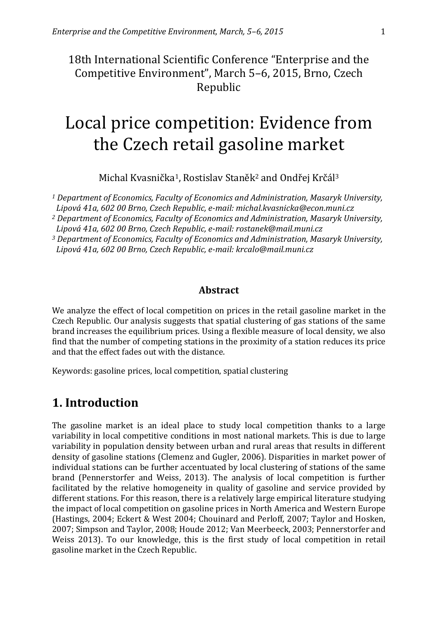18th International Scientific Conference "Enterprise and the Competitive Environment", March 5–6, 2015, Brno, Czech Republic

# Local price competition: Evidence from the Czech retail gasoline market

Michal Kvasnička<sup>1</sup>, Rostislav Staněk<sup>2</sup> and Ondřej Krčál<sup>3</sup>

*<sup>1</sup> Department of Economics, Faculty of Economics and Administration, Masaryk University, Lipová 41a, 602 00 Brno, Czech Republic, e-mail: michal.kvasnicka@econ.muni.cz*

*<sup>2</sup> Department of Economics, Faculty of Economics and Administration, Masaryk University,* 

*Lipová 41a, 602 00 Brno, Czech Republic, e-mail: rostanek@mail.muni.cz <sup>3</sup> Department of Economics, Faculty of Economics and Administration, Masaryk University,* 

*Lipová 41a, 602 00 Brno, Czech Republic, e-mail: krcalo@mail.muni.cz*

#### **Abstract**

We analyze the effect of local competition on prices in the retail gasoline market in the Czech Republic. Our analysis suggests that spatial clustering of gas stations of the same brand increases the equilibrium prices. Using a flexible measure of local density, we also find that the number of competing stations in the proximity of a station reduces its price and that the effect fades out with the distance.

Keywords: gasoline prices, local competition, spatial clustering

## **1. Introduction**

The gasoline market is an ideal place to study local competition thanks to a large variability in local competitive conditions in most national markets. This is due to large variability in population density between urban and rural areas that results in different density of gasoline stations (Clemenz and Gugler, 2006). Disparities in market power of individual stations can be further accentuated by local clustering of stations of the same brand (Pennerstorfer and Weiss, 2013). The analysis of local competition is further facilitated by the relative homogeneity in quality of gasoline and service provided by different stations. For this reason, there is a relatively large empirical literature studying the impact of local competition on gasoline prices in North America and Western Europe (Hastings, 2004; Eckert & West 2004; Chouinard and Perloff, 2007; Taylor and Hosken, 2007; Simpson and Taylor, 2008; Houde 2012; Van Meerbeeck, 2003; Pennerstorfer and Weiss 2013). To our knowledge, this is the first study of local competition in retail gasoline market in the Czech Republic.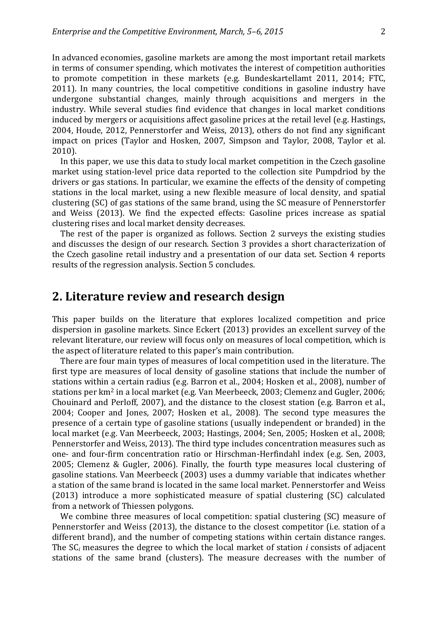In advanced economies, gasoline markets are among the most important retail markets in terms of consumer spending, which motivates the interest of competition authorities to promote competition in these markets (e.g. Bundeskartellamt 2011, 2014; FTC, 2011). In many countries, the local competitive conditions in gasoline industry have undergone substantial changes, mainly through acquisitions and mergers in the industry. While several studies find evidence that changes in local market conditions induced by mergers or acquisitions affect gasoline prices at the retail level (e.g. Hastings, 2004, Houde, 2012, Pennerstorfer and Weiss, 2013), others do not find any significant impact on prices (Taylor and Hosken, 2007, Simpson and Taylor, 2008, Taylor et al. 2010).

In this paper, we use this data to study local market competition in the Czech gasoline market using station-level price data reported to the collection site Pumpdriod by the drivers or gas stations. In particular, we examine the effects of the density of competing stations in the local market, using a new flexible measure of local density, and spatial clustering (SC) of gas stations of the same brand, using the SC measure of Pennerstorfer and Weiss (2013). We find the expected effects: Gasoline prices increase as spatial clustering rises and local market density decreases.

The rest of the paper is organized as follows. Section 2 surveys the existing studies and discusses the design of our research. Section 3 provides a short characterization of the Czech gasoline retail industry and a presentation of our data set. Section 4 reports results of the regression analysis. Section 5 concludes.

## **2. Literature review and research design**

This paper builds on the literature that explores localized competition and price dispersion in gasoline markets. Since Eckert (2013) provides an excellent survey of the relevant literature, our review will focus only on measures of local competition, which is the aspect of literature related to this paper's main contribution.

There are four main types of measures of local competition used in the literature. The first type are measures of local density of gasoline stations that include the number of stations within a certain radius (e.g. Barron et al., 2004; Hosken et al., 2008), number of stations per km<sup>2</sup> in a local market (e.g. Van Meerbeeck, 2003; Clemenz and Gugler, 2006; Chouinard and Perloff, 2007), and the distance to the closest station (e.g. Barron et al., 2004; Cooper and Jones, 2007; Hosken et al., 2008). The second type measures the presence of a certain type of gasoline stations (usually independent or branded) in the local market (e.g. Van Meerbeeck, 2003; Hastings, 2004; Sen, 2005; Hosken et al., 2008; Pennerstorfer and Weiss, 2013). The third type includes concentration measures such as one- and four-firm concentration ratio or Hirschman-Herfindahl index (e.g. Sen, 2003, 2005; Clemenz & Gugler, 2006). Finally, the fourth type measures local clustering of gasoline stations. Van Meerbeeck (2003) uses a dummy variable that indicates whether a station of the same brand is located in the same local market. Pennerstorfer and Weiss (2013) introduce a more sophisticated measure of spatial clustering (SC) calculated from a network of Thiessen polygons.

We combine three measures of local competition: spatial clustering (SC) measure of Pennerstorfer and Weiss (2013), the distance to the closest competitor (i.e. station of a different brand), and the number of competing stations within certain distance ranges. The SC*<sup>i</sup>* measures the degree to which the local market of station *i* consists of adjacent stations of the same brand (clusters). The measure decreases with the number of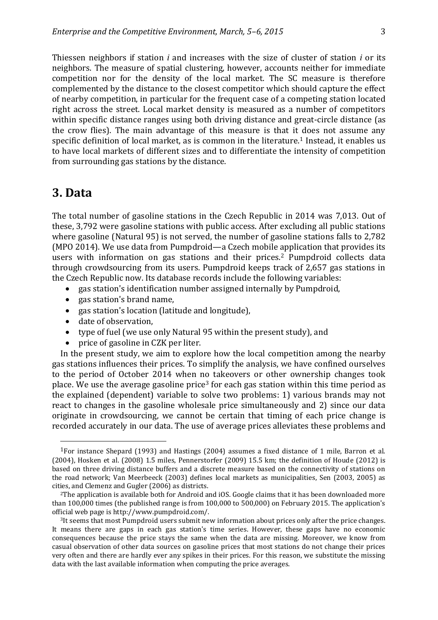Thiessen neighbors if station *i* and increases with the size of cluster of station *i* or its neighbors. The measure of spatial clustering, however, accounts neither for immediate competition nor for the density of the local market. The SC measure is therefore complemented by the distance to the closest competitor which should capture the effect of nearby competition, in particular for the frequent case of a competing station located right across the street. Local market density is measured as a number of competitors within specific distance ranges using both driving distance and great-circle distance (as the crow flies). The main advantage of this measure is that it does not assume any specific definition of local market, as is common in the literature.<sup>1</sup> Instead, it enables us to have local markets of different sizes and to differentiate the intensity of competition from surrounding gas stations by the distance.

### **3. Data**

 $\overline{\phantom{a}}$ 

The total number of gasoline stations in the Czech Republic in 2014 was 7,013. Out of these, 3,792 were gasoline stations with public access. After excluding all public stations where gasoline (Natural 95) is not served, the number of gasoline stations falls to 2,782 (MPO 2014). We use data from Pumpdroid—a Czech mobile application that provides its users with information on gas stations and their prices.<sup>2</sup> Pumpdroid collects data through crowdsourcing from its users. Pumpdroid keeps track of 2,657 gas stations in the Czech Republic now. Its database records include the following variables:

- eas station's identification number assigned internally by Pumpdroid,
- gas station's brand name,
- gas station's location (latitude and longitude),
- date of observation,
- type of fuel (we use only Natural 95 within the present study), and
- price of gasoline in CZK per liter.

In the present study, we aim to explore how the local competition among the nearby gas stations influences their prices. To simplify the analysis, we have confined ourselves to the period of October 2014 when no takeovers or other ownership changes took place. We use the average gasoline price<sup>3</sup> for each gas station within this time period as the explained (dependent) variable to solve two problems: 1) various brands may not react to changes in the gasoline wholesale price simultaneously and 2) since our data originate in crowdsourcing, we cannot be certain that timing of each price change is recorded accurately in our data. The use of average prices alleviates these problems and

<sup>1</sup>For instance Shepard (1993) and Hastings (2004) assumes a fixed distance of 1 mile, Barron et al. (2004), Hosken et al. (2008) 1.5 miles, Pennerstorfer (2009) 15.5 km; the definition of Houde (2012) is based on three driving distance buffers and a discrete measure based on the connectivity of stations on the road network; Van Meerbeeck (2003) defines local markets as municipalities, Sen (2003, 2005) as cities, and Clemenz and Gugler (2006) as districts.

<sup>2</sup>The application is available both for Android and iOS. Google claims that it has been downloaded more than 100,000 times (the published range is from 100,000 to 500,000) on February 2015. The application's official web page is http://www.pumpdroid.com/.

<sup>3</sup>It seems that most Pumpdroid users submit new information about prices only after the price changes. It means there are gaps in each gas station's time series. However, these gaps have no economic consequences because the price stays the same when the data are missing. Moreover, we know from casual observation of other data sources on gasoline prices that most stations do not change their prices very often and there are hardly ever any spikes in their prices. For this reason, we substitute the missing data with the last available information when computing the price averages.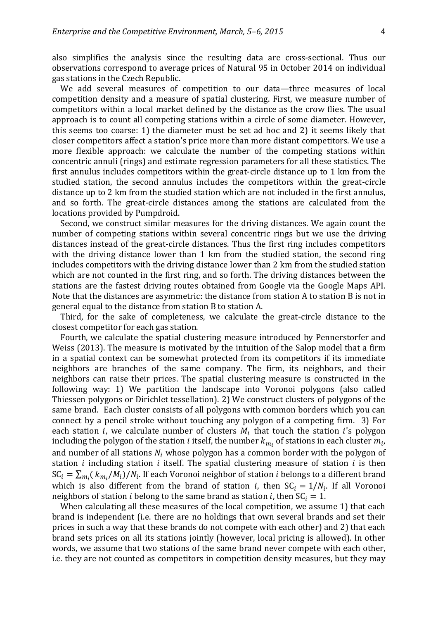also simplifies the analysis since the resulting data are cross-sectional. Thus our observations correspond to average prices of Natural 95 in October 2014 on individual gas stations in the Czech Republic.

We add several measures of competition to our data—three measures of local competition density and a measure of spatial clustering. First, we measure number of competitors within a local market defined by the distance as the crow flies. The usual approach is to count all competing stations within a circle of some diameter. However, this seems too coarse: 1) the diameter must be set ad hoc and 2) it seems likely that closer competitors affect a station's price more than more distant competitors. We use a more flexible approach: we calculate the number of the competing stations within concentric annuli (rings) and estimate regression parameters for all these statistics. The first annulus includes competitors within the great-circle distance up to 1 km from the studied station, the second annulus includes the competitors within the great-circle distance up to 2 km from the studied station which are not included in the first annulus, and so forth. The great-circle distances among the stations are calculated from the locations provided by Pumpdroid.

Second, we construct similar measures for the driving distances. We again count the number of competing stations within several concentric rings but we use the driving distances instead of the great-circle distances. Thus the first ring includes competitors with the driving distance lower than 1 km from the studied station, the second ring includes competitors with the driving distance lower than 2 km from the studied station which are not counted in the first ring, and so forth. The driving distances between the stations are the fastest driving routes obtained from Google via the Google Maps API. Note that the distances are asymmetric: the distance from station A to station B is not in general equal to the distance from station B to station A.

Third, for the sake of completeness, we calculate the great-circle distance to the closest competitor for each gas station.

Fourth, we calculate the spatial clustering measure introduced by Pennerstorfer and Weiss (2013). The measure is motivated by the intuition of the Salop model that a firm in a spatial context can be somewhat protected from its competitors if its immediate neighbors are branches of the same company. The firm, its neighbors, and their neighbors can raise their prices. The spatial clustering measure is constructed in the following way: 1) We partition the landscape into Voronoi polygons (also called Thiessen polygons or Dirichlet tessellation). 2) We construct clusters of polygons of the same brand. Each cluster consists of all polygons with common borders which you can connect by a pencil stroke without touching any polygon of a competing firm. 3) For each station *i*, we calculate number of clusters  $M_i$  that touch the station *i*'s polygon including the polygon of the station  $i$  itself, the number  $k_{m_i}$  of stations in each cluster  $m_i$ , and number of all stations  $N_i$  whose polygon has a common border with the polygon of station  $i$  including station  $i$  itself. The spatial clustering measure of station  $i$  is then  $SC_i = \sum_{m_i} (k_{m_i}/M_i)/N_i$ . If each Voronoi neighbor of station *i* belongs to a different brand which is also different from the brand of station *i*, then  $SC_i = 1/N_i$ . If all Voronoi neighbors of station *i* belong to the same brand as station *i*, then  $SC_i = 1$ .

When calculating all these measures of the local competition, we assume 1) that each brand is independent (i.e. there are no holdings that own several brands and set their prices in such a way that these brands do not compete with each other) and 2) that each brand sets prices on all its stations jointly (however, local pricing is allowed). In other words, we assume that two stations of the same brand never compete with each other, i.e. they are not counted as competitors in competition density measures, but they may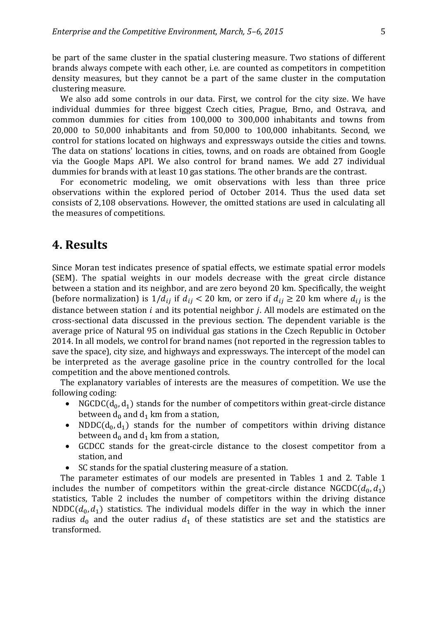be part of the same cluster in the spatial clustering measure. Two stations of different brands always compete with each other, i.e. are counted as competitors in competition density measures, but they cannot be a part of the same cluster in the computation clustering measure.

We also add some controls in our data. First, we control for the city size. We have individual dummies for three biggest Czech cities, Prague, Brno, and Ostrava, and common dummies for cities from 100,000 to 300,000 inhabitants and towns from 20,000 to 50,000 inhabitants and from 50,000 to 100,000 inhabitants. Second, we control for stations located on highways and expressways outside the cities and towns. The data on stations' locations in cities, towns, and on roads are obtained from Google via the Google Maps API. We also control for brand names. We add 27 individual dummies for brands with at least 10 gas stations. The other brands are the contrast.

For econometric modeling, we omit observations with less than three price observations within the explored period of October 2014. Thus the used data set consists of 2,108 observations. However, the omitted stations are used in calculating all the measures of competitions.

## **4. Results**

Since Moran test indicates presence of spatial effects, we estimate spatial error models (SEM). The spatial weights in our models decrease with the great circle distance between a station and its neighbor, and are zero beyond 20 km. Specifically, the weight (before normalization) is  $1/d_{ii}$  if  $d_{ii} < 20$  km, or zero if  $d_{ii} \ge 20$  km where  $d_{ii}$  is the distance between station  $i$  and its potential neighbor  $j$ . All models are estimated on the cross-sectional data discussed in the previous section. The dependent variable is the average price of Natural 95 on individual gas stations in the Czech Republic in October 2014. In all models, we control for brand names (not reported in the regression tables to save the space), city size, and highways and expressways. The intercept of the model can be interpreted as the average gasoline price in the country controlled for the local competition and the above mentioned controls.

The explanatory variables of interests are the measures of competition. We use the following coding:

- NGCDC( $d_0, d_1$ ) stands for the number of competitors within great-circle distance between  $d_0$  and  $d_1$  km from a station,
- NDDC( $d_0, d_1$ ) stands for the number of competitors within driving distance between  $d_0$  and  $d_1$  km from a station,
- GCDCC stands for the great-circle distance to the closest competitor from a station, and
- SC stands for the spatial clustering measure of a station.

The parameter estimates of our models are presented in Tables 1 and 2. Table 1 includes the number of competitors within the great-circle distance NGCDC( $d_0, d_1$ ) statistics, Table 2 includes the number of competitors within the driving distance NDDC( $d_0, d_1$ ) statistics. The individual models differ in the way in which the inner radius  $d_0$  and the outer radius  $d_1$  of these statistics are set and the statistics are transformed.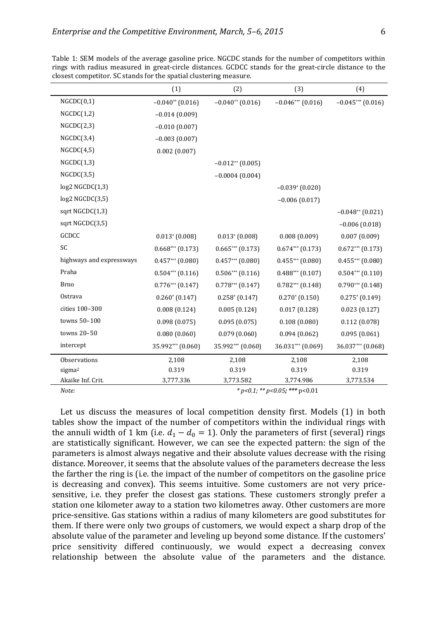|                          | (1)                  | (2)                  | (3)                           | (4)                          |
|--------------------------|----------------------|----------------------|-------------------------------|------------------------------|
| NGCDC(0,1)               | $-0.040**$ (0.016)   | $-0.040**$ (0.016)   | $-0.046***$ (0.016)           | $-0.045***$ (0.016)          |
| NGCDC(1,2)               | $-0.014(0.009)$      |                      |                               |                              |
| NGCDC(2,3)               | $-0.010(0.007)$      |                      |                               |                              |
| NGCDC(3,4)               | $-0.003(0.007)$      |                      |                               |                              |
| NGCDC(4,5)               | 0.002(0.007)         |                      |                               |                              |
| NGCDC(1,3)               |                      | $-0.012**$ (0.005)   |                               |                              |
| NGCDC(3,5)               |                      | $-0.0004(0.004)$     |                               |                              |
| $log2$ NGCDC $(1,3)$     |                      |                      | $-0.039$ <sup>*</sup> (0.020) |                              |
| $log2$ NGCDC $(3,5)$     |                      |                      | $-0.006(0.017)$               |                              |
| sqrt NGCDC(1,3)          |                      |                      |                               | $-0.048**$ (0.021)           |
| sqrt NGCDC(3,5)          |                      |                      |                               | $-0.006(0.018)$              |
| GCDCC                    | $0.013*(0.008)$      | $0.013*(0.008)$      | 0.008(0.009)                  | 0.007(0.009)                 |
| SC                       | $0.668***(0.173)$    | $0.665***(0.173)$    | $0.674***$ (0.173)            | $0.672***$ $(0.173)$         |
| highways and expressways | $0.457***$ $(0.080)$ | $0.457***$ $(0.080)$ | $0.455***(0.080)$             | $0.455***(0.080)$            |
| Praha                    | $0.504***$ (0.116)   | $0.506***$ (0.116)   | $0.488***$ (0.107)            | $0.504***$ (0.110)           |
| <b>Brno</b>              | $0.776***$ $(0.147)$ | $0.778***$ $(0.147)$ | $0.782***$ (0.148)            | $0.790***$ $(0.148)$         |
| Ostrava                  | $0.260*(0.147)$      | $0.258*(0.147)$      | $0.270*(0.150)$               | $0.275$ <sup>*</sup> (0.149) |
| cities 100-300           | 0.008(0.124)         | 0.005(0.124)         | 0.017(0.128)                  | 0.023(0.127)                 |
| towns 50-100             | 0.098(0.075)         | 0.095(0.075)         | 0.108(0.080)                  | 0.112(0.078)                 |
| towns 20-50              | 0.080(0.060)         | 0.079(0.060)         | 0.094(0.062)                  | 0.095(0.061)                 |
| intercept                | 35.992*** (0.060)    | 35.992*** (0.060)    | 36.031*** (0.069)             | 36.037*** (0.068)            |
| Observations             | 2,108                | 2,108                | 2,108                         | 2,108                        |
| sigma <sup>2</sup>       | 0.319                | 0.319                | 0.319                         | 0.319                        |
| Akaike Inf. Crit.        | 3,777.336            | 3,773.582            | 3,774.986                     | 3,773.534                    |

Table 1: SEM models of the average gasoline price. NGCDC stands for the number of competitors within rings with radius measured in great-circle distances. GCDCC stands for the great-circle distance to the closest competitor. SC stands for the spatial clustering measure.

Let us discuss the measures of local competition density first. Models (1) in both tables show the impact of the number of competitors within the individual rings with the annuli width of 1 km (i.e.  $d_1 - d_0 = 1$ ). Only the parameters of first (several) rings are statistically significant. However, we can see the expected pattern: the sign of the parameters is almost always negative and their absolute values decrease with the rising distance. Moreover, it seems that the absolute values of the parameters decrease the less the farther the ring is (i.e. the impact of the number of competitors on the gasoline price is decreasing and convex). This seems intuitive. Some customers are not very pricesensitive, i.e. they prefer the closest gas stations. These customers strongly prefer a station one kilometer away to a station two kilometres away. Other customers are more price-sensitive. Gas stations within a radius of many kilometers are good substitutes for them. If there were only two groups of customers, we would expect a sharp drop of the absolute value of the parameter and leveling up beyond some distance. If the customers' price sensitivity differed continuously, we would expect a decreasing convex relationship between the absolute value of the parameters and the distance.

*Note: \* p<0.1; \*\* p<0.05; \*\*\** p<0.01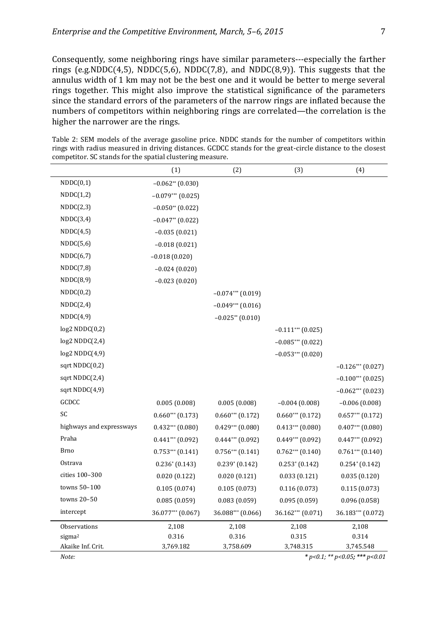Consequently, some neighboring rings have similar parameters---especially the farther rings (e.g.NDDC(4,5), NDDC(5,6), NDDC(7,8), and NDDC(8,9)). This suggests that the annulus width of 1 km may not be the best one and it would be better to merge several rings together. This might also improve the statistical significance of the parameters since the standard errors of the parameters of the narrow rings are inflated because the numbers of competitors within neighboring rings are correlated—the correlation is the higher the narrower are the rings.

Table 2: SEM models of the average gasoline price. NDDC stands for the number of competitors within rings with radius measured in driving distances. GCDCC stands for the great-circle distance to the closest competitor. SC stands for the spatial clustering measure.

|                          | (1)                  | (2)                                    | (3)                          | (4)                  |
|--------------------------|----------------------|----------------------------------------|------------------------------|----------------------|
| NDDC(0,1)                | $-0.062**$ (0.030)   |                                        |                              |                      |
| NDDC(1,2)                | $-0.079***$ (0.025)  |                                        |                              |                      |
| NDDC(2,3)                | $-0.050**$ (0.022)   |                                        |                              |                      |
| NDDC(3,4)                | $-0.047**$ (0.022)   |                                        |                              |                      |
| NDDC(4,5)                | $-0.035(0.021)$      |                                        |                              |                      |
| NDDC(5,6)                | $-0.018(0.021)$      |                                        |                              |                      |
| NDDC(6,7)                | $-0.018(0.020)$      |                                        |                              |                      |
| NDDC(7,8)                | $-0.024(0.020)$      |                                        |                              |                      |
| NDDC(8,9)                | $-0.023(0.020)$      |                                        |                              |                      |
| NDDC(0,2)                |                      | $-0.074***$ (0.019)                    |                              |                      |
| NDDC(2,4)                |                      | $-0.049***$ (0.016)                    |                              |                      |
| NDDC(4,9)                |                      | $-0.025**$ (0.010)                     |                              |                      |
| log2 NDDC(0,2)           |                      |                                        | $-0.111***$ (0.025)          |                      |
| log2 NDDC(2,4)           |                      |                                        | $-0.085***$ (0.022)          |                      |
| log2 NDDC(4,9)           |                      |                                        | $-0.053***$ (0.020)          |                      |
| sqrt NDDC(0,2)           |                      |                                        |                              | $-0.126***$ (0.027)  |
| sqrt NDDC(2,4)           |                      |                                        |                              | $-0.100***$ (0.025)  |
| sqrt NDDC(4,9)           |                      |                                        |                              | $-0.062***$ (0.023)  |
| GCDCC                    | 0.005(0.008)         | 0.005(0.008)                           | $-0.004(0.008)$              | $-0.006(0.008)$      |
| SC                       | $0.660***$ $(0.173)$ | $0.660***$ $(0.172)$                   | $0.660***$ $(0.172)$         | $0.657***$ $(0.172)$ |
| highways and expressways | $0.432***$ $(0.080)$ | $0.429***$ $(0.080)$                   | $0.413***$ $(0.080)$         | $0.407***$ $(0.080)$ |
| Praha                    | $0.441***$ $(0.092)$ | $0.444***$ (0.092)                     | $0.449***$ $(0.092)$         | $0.447***$ (0.092)   |
| <b>Brno</b>              | $0.753***$ $(0.141)$ | $0.756***$ $(0.141)$                   | $0.762***$ $(0.140)$         | $0.761***$ $(0.140)$ |
| Ostrava                  | $0.236*(0.143)$      | $0.239*(0.142)$                        | $0.253$ <sup>*</sup> (0.142) | $0.254*(0.142)$      |
| cities 100-300           | 0.020(0.122)         | 0.020(0.121)                           | 0.033(0.121)                 | 0.035(0.120)         |
| towns 50-100             | 0.105(0.074)         | 0.105(0.073)                           | 0.116(0.073)                 | 0.115(0.073)         |
| towns 20-50              | 0.085(0.059)         | 0.083(0.059)                           | 0.095(0.059)                 | 0.096(0.058)         |
| intercept                | 36.077*** (0.067)    | 36.088*** (0.066)                      | 36.162*** (0.071)            | 36.183*** (0.072)    |
| Observations             | 2,108                | 2,108                                  | 2,108                        | 2,108                |
| sigma <sup>2</sup>       | 0.316                | 0.316                                  | 0.315                        | 0.314                |
| Akaike Inf. Crit.        | 3,769.182            | 3,758.609                              | 3,748.315                    | 3,745.548            |
| Note:                    |                      | * $p<0.1$ ; ** $p<0.05$ ; *** $p<0.01$ |                              |                      |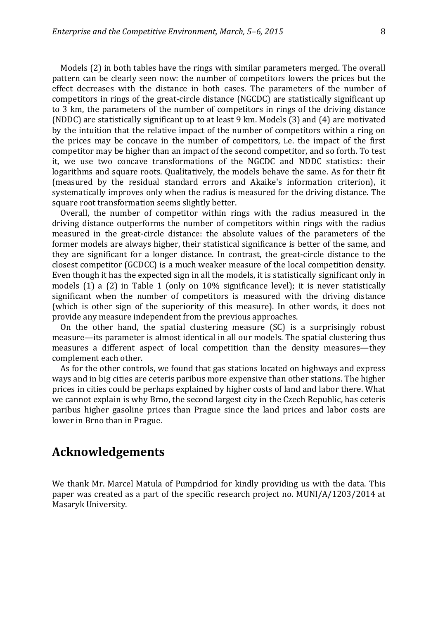Models (2) in both tables have the rings with similar parameters merged. The overall pattern can be clearly seen now: the number of competitors lowers the prices but the effect decreases with the distance in both cases. The parameters of the number of competitors in rings of the great-circle distance (NGCDC) are statistically significant up to 3 km, the parameters of the number of competitors in rings of the driving distance (NDDC) are statistically significant up to at least 9 km. Models (3) and (4) are motivated by the intuition that the relative impact of the number of competitors within a ring on the prices may be concave in the number of competitors, i.e. the impact of the first competitor may be higher than an impact of the second competitor, and so forth. To test it, we use two concave transformations of the NGCDC and NDDC statistics: their logarithms and square roots. Qualitatively, the models behave the same. As for their fit (measured by the residual standard errors and Akaike's information criterion), it systematically improves only when the radius is measured for the driving distance. The square root transformation seems slightly better.

Overall, the number of competitor within rings with the radius measured in the driving distance outperforms the number of competitors within rings with the radius measured in the great-circle distance: the absolute values of the parameters of the former models are always higher, their statistical significance is better of the same, and they are significant for a longer distance. In contrast, the great-circle distance to the closest competitor (GCDCC) is a much weaker measure of the local competition density. Even though it has the expected sign in all the models, it is statistically significant only in models (1) a (2) in Table 1 (only on 10% significance level); it is never statistically significant when the number of competitors is measured with the driving distance (which is other sign of the superiority of this measure). In other words, it does not provide any measure independent from the previous approaches.

On the other hand, the spatial clustering measure (SC) is a surprisingly robust measure—its parameter is almost identical in all our models. The spatial clustering thus measures a different aspect of local competition than the density measures—they complement each other.

As for the other controls, we found that gas stations located on highways and express ways and in big cities are ceteris paribus more expensive than other stations. The higher prices in cities could be perhaps explained by higher costs of land and labor there. What we cannot explain is why Brno, the second largest city in the Czech Republic, has ceteris paribus higher gasoline prices than Prague since the land prices and labor costs are lower in Brno than in Prague.

## **Acknowledgements**

We thank Mr. Marcel Matula of Pumpdriod for kindly providing us with the data. This paper was created as a part of the specific research project no. MUNI/A/1203/2014 at Masaryk University.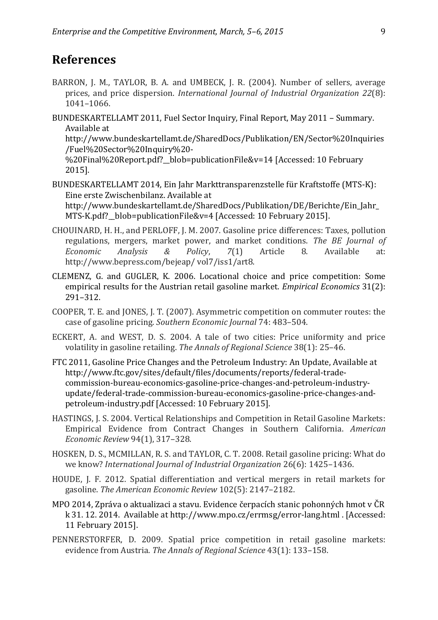## **References**

- BARRON, J. M., TAYLOR, B. A. and UMBECK, J. R. (2004). Number of sellers, average prices, and price dispersion. *International Journal of Industrial Organization 22*(8): 1041–1066.
- BUNDESKARTELLAMT 2011, Fuel Sector Inquiry, Final Report, May 2011 Summary. Available at

http://www.bundeskartellamt.de/SharedDocs/Publikation/EN/Sector%20Inquiries /Fuel%20Sector%20Inquiry%20-

%20Final%20Report.pdf?\_\_blob=publicationFile&v=14 [Accessed: 10 February 2015].

- BUNDESKARTELLAMT 2014, Ein Jahr Markttransparenzstelle für Kraftstoffe (MTS-K): Eine erste Zwischenbilanz. Available at http://www.bundeskartellamt.de/SharedDocs/Publikation/DE/Berichte/Ein\_Jahr\_ MTS-K.pdf? blob=publicationFile&v=4 [Accessed: 10 February 2015].
- CHOUINARD, H. H., and PERLOFF, J. M. 2007. Gasoline price differences: Taxes, pollution regulations, mergers, market power, and market conditions. *The BE Journal of Economic Analysis & Policy*, *7*(1) Article 8. Available at: http://www.bepress.com/bejeap/ vol7/iss1/art8.
- CLEMENZ, G. and GUGLER, K. 2006. Locational choice and price competition: Some empirical results for the Austrian retail gasoline market. *Empirical Economics* 31(2): 291–312.
- COOPER, T. E. and JONES, J. T. (2007). Asymmetric competition on commuter routes: the case of gasoline pricing. *Southern Economic Journal* 74: 483–504.
- ECKERT, A. and WEST, D. S. 2004. A tale of two cities: Price uniformity and price volatility in gasoline retailing. *The Annals of Regional Science* 38(1): 25–46.
- FTC 2011, Gasoline Price Changes and the Petroleum Industry: An Update, Available at http://www.ftc.gov/sites/default/files/documents/reports/federal-tradecommission-bureau-economics-gasoline-price-changes-and-petroleum-industryupdate/federal-trade-commission-bureau-economics-gasoline-price-changes-andpetroleum-industry.pdf [Accessed: 10 February 2015].
- HASTINGS, J. S. 2004. Vertical Relationships and Competition in Retail Gasoline Markets: Empirical Evidence from Contract Changes in Southern California. *American Economic Review* 94(1), 317–328.
- HOSKEN, D. S., MCMILLAN, R. S. and TAYLOR, C. T. 2008. Retail gasoline pricing: What do we know? *International Journal of Industrial Organization* 26(6): 1425–1436.
- HOUDE, J. F. 2012. Spatial differentiation and vertical mergers in retail markets for gasoline. *The American Economic Review* 102(5): 2147–2182.
- MPO 2014, Zpráva o aktualizaci a stavu. Evidence čerpacích stanic pohonných hmot v ČR k 31. 12. 2014. Available at http://www.mpo.cz/errmsg/error-lang.html . [Accessed: 11 February 2015].
- PENNERSTORFER, D. 2009. Spatial price competition in retail gasoline markets: evidence from Austria. *The Annals of Regional Science* 43(1): 133–158.